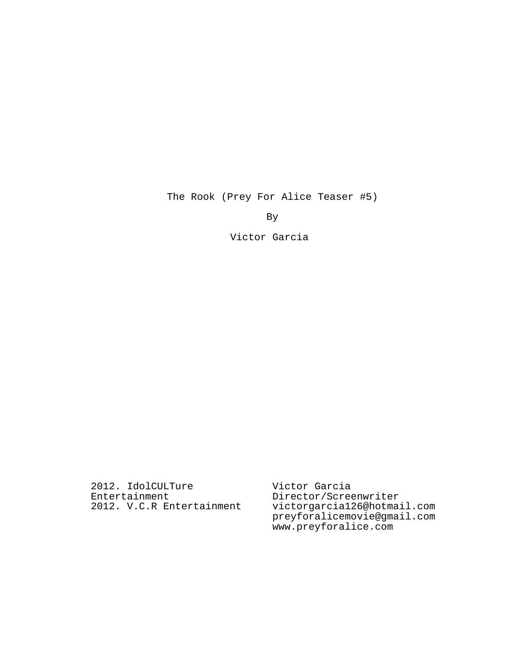The Rook (Prey For Alice Teaser #5)

By

Victor Garcia

2012. IdolCULTure Entertainment 2012. V.C.R Entertainment Victor Garcia Director/Screenwriter victorgarcia126@hotmail.com preyforalicemovie@gmail.com www.preyforalice.com